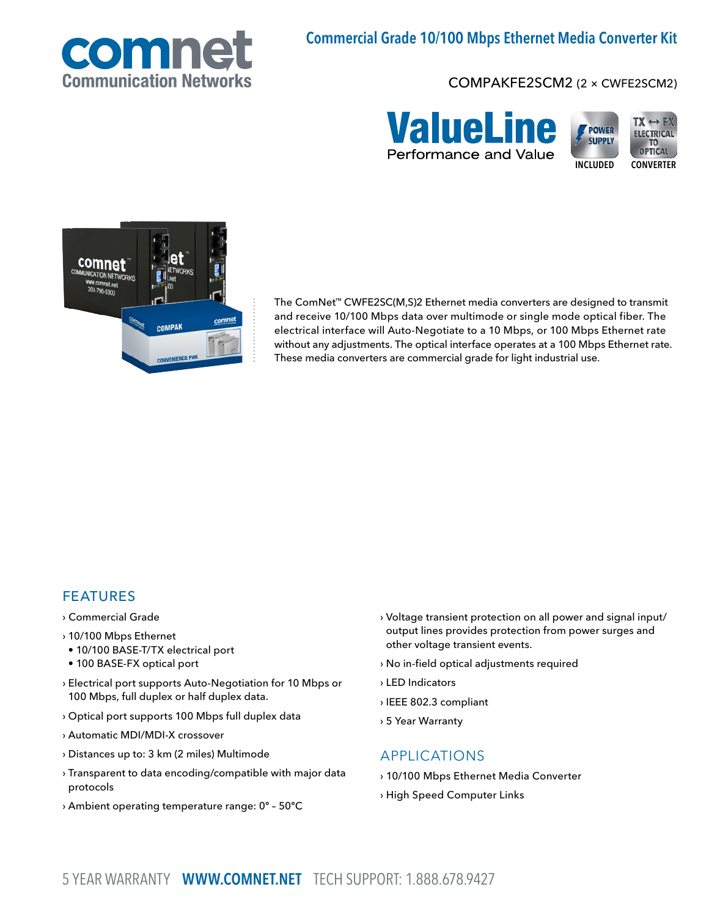

# Commercial Grade 10/100 Mbps Ethernet Media Converter Kit

### COMPAKFE2SCM2 (2 × CWFE2SCM2)





The ComNet™ CWFE2SC(M,S)2 Ethernet media converters are designed to transmit and receive 10/100 Mbps data over multimode or single mode optical fiber. The electrical interface will Auto-Negotiate to a 10 Mbps, or 100 Mbps Ethernet rate without any adjustments. The optical interface operates at a 100 Mbps Ethernet rate. These media converters are commercial grade for light industrial use.

### FEATURES

- › Commercial Grade
- › 10/100 Mbps Ethernet
- 10/100 BASE-T/TX electrical port
- 100 BASE-FX optical port
- › Electrical port supports Auto-Negotiation for 10 Mbps or 100 Mbps, full duplex or half duplex data.
- › Optical port supports 100 Mbps full duplex data
- › Automatic MDI/MDI-X crossover
- › Distances up to: 3 km (2 miles) Multimode
- › Transparent to data encoding/compatible with major data protocols
- › Ambient operating temperature range: 0º 50ºC
- › Voltage transient protection on all power and signal input/ output lines provides protection from power surges and other voltage transient events.
- › No in-field optical adjustments required
- › LED Indicators
- › IEEE 802.3 compliant
- › 5 Year Warranty

#### APPLICATIONS

- › 10/100 Mbps Ethernet Media Converter
- › High Speed Computer Links